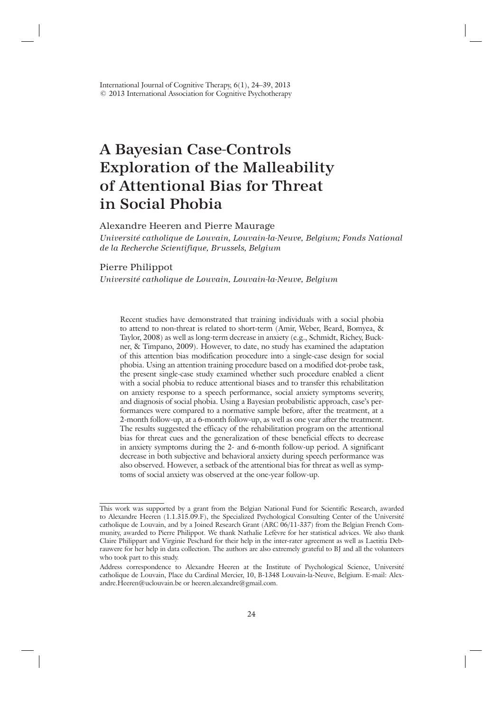# A Bayesian Case-Controls Exploration of the Malleability of Attentional Bias for Threat in Social Phobia

# Alexandre Heeren and Pierre Maurage

*Université catholique de Louvain, Louvain-la-Neuve, Belgium; Fonds National de la Recherche Scientifique, Brussels, Belgium*

# Pierre Philippot

*Université catholique de Louvain, Louvain-la-Neuve, Belgium*

Recent studies have demonstrated that training individuals with a social phobia to attend to non-threat is related to short-term (Amir, Weber, Beard, Bomyea, & Taylor, 2008) as well as long-term decrease in anxiety (e.g., Schmidt, Richey, Buckner, & Timpano, 2009). However, to date, no study has examined the adaptation of this attention bias modification procedure into a single-case design for social phobia. Using an attention training procedure based on a modified dot-probe task, the present single-case study examined whether such procedure enabled a client with a social phobia to reduce attentional biases and to transfer this rehabilitation on anxiety response to a speech performance, social anxiety symptoms severity, and diagnosis of social phobia. Using a Bayesian probabilistic approach, case's performances were compared to a normative sample before, after the treatment, at a 2-month follow-up, at a 6-month follow-up, as well as one year after the treatment. The results suggested the efficacy of the rehabilitation program on the attentional bias for threat cues and the generalization of these beneficial effects to decrease in anxiety symptoms during the 2- and 6-month follow-up period. A significant decrease in both subjective and behavioral anxiety during speech performance was also observed. However, a setback of the attentional bias for threat as well as symptoms of social anxiety was observed at the one-year follow-up.

This work was supported by a grant from the Belgian National Fund for Scientific Research, awarded to Alexandre Heeren (1.1.315.09.F), the Specialized Psychological Consulting Center of the Université catholique de Louvain, and by a Joined Research Grant (ARC 06/11-337) from the Belgian French Community, awarded to Pierre Philippot. We thank Nathalie Lefèvre for her statistical advices. We also thank Claire Philippart and Virginie Peschard for their help in the inter-rater agreement as well as Laetitia Debrauwere for her help in data collection. The authors are also extremely grateful to BJ and all the volunteers who took part to this study.

Address correspondence to Alexandre Heeren at the Institute of Psychological Science, Université catholique de Louvain, Place du Cardinal Mercier, 10, B-1348 Louvain-la-Neuve, Belgium. E-mail: Alexandre.Heeren@uclouvain.be or heeren.alexandre@gmail.com.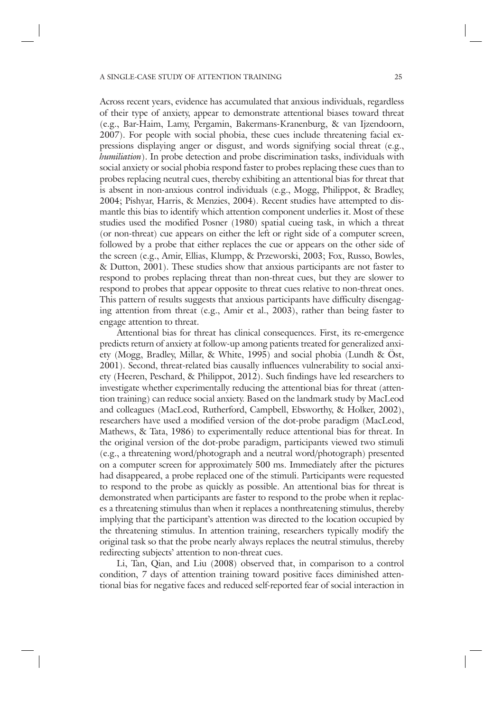Across recent years, evidence has accumulated that anxious individuals, regardless of their type of anxiety, appear to demonstrate attentional biases toward threat (e.g., Bar-Haim, Lamy, Pergamin, Bakermans-Kranenburg, & van Ijzendoorn, 2007). For people with social phobia, these cues include threatening facial expressions displaying anger or disgust, and words signifying social threat (e.g., *humiliation*). In probe detection and probe discrimination tasks, individuals with social anxiety or social phobia respond faster to probes replacing these cues than to probes replacing neutral cues, thereby exhibiting an attentional bias for threat that is absent in non-anxious control individuals (e.g., Mogg, Philippot, & Bradley, 2004; Pishyar, Harris, & Menzies, 2004). Recent studies have attempted to dismantle this bias to identify which attention component underlies it. Most of these studies used the modified Posner (1980) spatial cueing task, in which a threat (or non-threat) cue appears on either the left or right side of a computer screen, followed by a probe that either replaces the cue or appears on the other side of the screen (e.g., Amir, Ellias, Klumpp, & Przeworski, 2003; Fox, Russo, Bowles, & Dutton, 2001). These studies show that anxious participants are not faster to respond to probes replacing threat than non-threat cues, but they are slower to respond to probes that appear opposite to threat cues relative to non-threat ones. This pattern of results suggests that anxious participants have difficulty disengaging attention from threat (e.g., Amir et al., 2003), rather than being faster to engage attention to threat.

Attentional bias for threat has clinical consequences. First, its re-emergence predicts return of anxiety at follow-up among patients treated for generalized anxiety (Mogg, Bradley, Millar, & White, 1995) and social phobia (Lundh & Öst, 2001). Second, threat-related bias causally influences vulnerability to social anxiety (Heeren, Peschard, & Philippot, 2012). Such findings have led researchers to investigate whether experimentally reducing the attentional bias for threat (attention training) can reduce social anxiety. Based on the landmark study by MacLeod and colleagues (MacLeod, Rutherford, Campbell, Ebsworthy, & Holker, 2002), researchers have used a modified version of the dot-probe paradigm (MacLeod, Mathews, & Tata, 1986) to experimentally reduce attentional bias for threat. In the original version of the dot-probe paradigm, participants viewed two stimuli (e.g., a threatening word/photograph and a neutral word/photograph) presented on a computer screen for approximately 500 ms. Immediately after the pictures had disappeared, a probe replaced one of the stimuli. Participants were requested to respond to the probe as quickly as possible. An attentional bias for threat is demonstrated when participants are faster to respond to the probe when it replaces a threatening stimulus than when it replaces a nonthreatening stimulus, thereby implying that the participant's attention was directed to the location occupied by the threatening stimulus. In attention training, researchers typically modify the original task so that the probe nearly always replaces the neutral stimulus, thereby redirecting subjects' attention to non-threat cues.

Li, Tan, Qian, and Liu (2008) observed that, in comparison to a control condition, 7 days of attention training toward positive faces diminished attentional bias for negative faces and reduced self-reported fear of social interaction in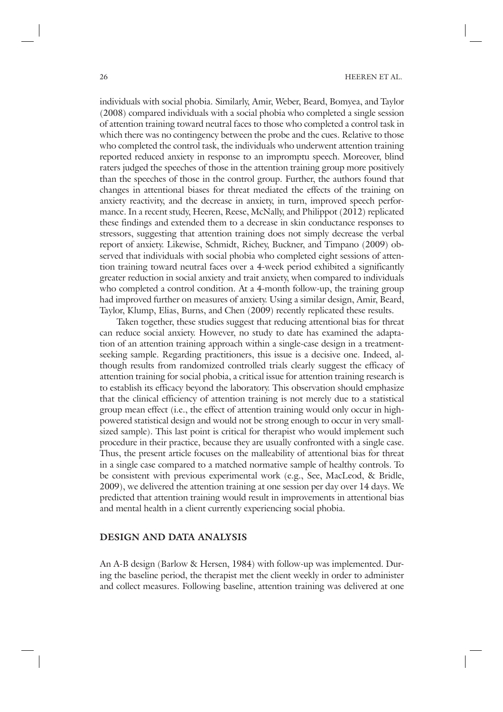individuals with social phobia. Similarly, Amir, Weber, Beard, Bomyea, and Taylor (2008) compared individuals with a social phobia who completed a single session of attention training toward neutral faces to those who completed a control task in which there was no contingency between the probe and the cues. Relative to those who completed the control task, the individuals who underwent attention training reported reduced anxiety in response to an impromptu speech. Moreover, blind raters judged the speeches of those in the attention training group more positively than the speeches of those in the control group. Further, the authors found that changes in attentional biases for threat mediated the effects of the training on anxiety reactivity, and the decrease in anxiety, in turn, improved speech performance. In a recent study, Heeren, Reese, McNally, and Philippot (2012) replicated these findings and extended them to a decrease in skin conductance responses to stressors, suggesting that attention training does not simply decrease the verbal report of anxiety. Likewise, Schmidt, Richey, Buckner, and Timpano (2009) observed that individuals with social phobia who completed eight sessions of attention training toward neutral faces over a 4-week period exhibited a significantly greater reduction in social anxiety and trait anxiety, when compared to individuals who completed a control condition. At a 4-month follow-up, the training group had improved further on measures of anxiety. Using a similar design, Amir, Beard, Taylor, Klump, Elias, Burns, and Chen (2009) recently replicated these results.

Taken together, these studies suggest that reducing attentional bias for threat can reduce social anxiety. However, no study to date has examined the adaptation of an attention training approach within a single-case design in a treatmentseeking sample. Regarding practitioners, this issue is a decisive one. Indeed, although results from randomized controlled trials clearly suggest the efficacy of attention training for social phobia, a critical issue for attention training research is to establish its efficacy beyond the laboratory. This observation should emphasize that the clinical efficiency of attention training is not merely due to a statistical group mean effect (i.e., the effect of attention training would only occur in highpowered statistical design and would not be strong enough to occur in very smallsized sample). This last point is critical for therapist who would implement such procedure in their practice, because they are usually confronted with a single case. Thus, the present article focuses on the malleability of attentional bias for threat in a single case compared to a matched normative sample of healthy controls. To be consistent with previous experimental work (e.g., See, MacLeod, & Bridle, 2009), we delivered the attention training at one session per day over 14 days. We predicted that attention training would result in improvements in attentional bias and mental health in a client currently experiencing social phobia.

#### **deSIGn And dATA AnAlySIS**

An A-B design (Barlow & Hersen, 1984) with follow-up was implemented. During the baseline period, the therapist met the client weekly in order to administer and collect measures. Following baseline, attention training was delivered at one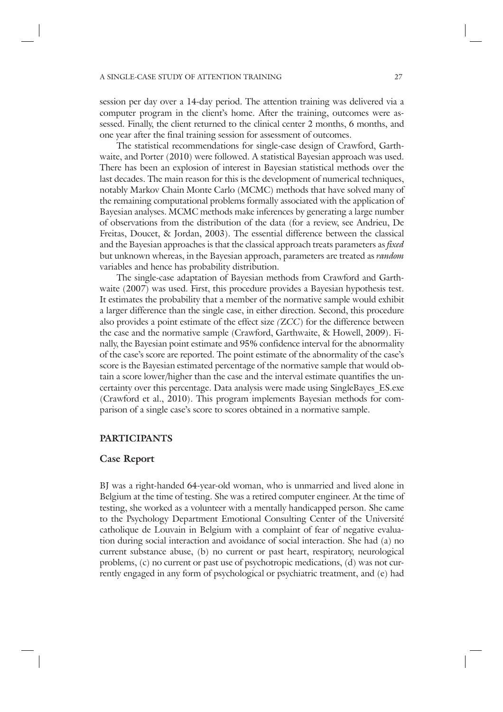session per day over a 14-day period. The attention training was delivered via a computer program in the client's home. After the training, outcomes were assessed. Finally, the client returned to the clinical center 2 months, 6 months, and one year after the final training session for assessment of outcomes.

The statistical recommendations for single-case design of Crawford, Garthwaite, and Porter (2010) were followed. A statistical Bayesian approach was used. There has been an explosion of interest in Bayesian statistical methods over the last decades. The main reason for this is the development of numerical techniques, notably Markov Chain Monte Carlo (MCMC) methods that have solved many of the remaining computational problems formally associated with the application of Bayesian analyses. MCMC methods make inferences by generating a large number of observations from the distribution of the data (for a review, see Andrieu, De Freitas, Doucet, & Jordan, 2003). The essential difference between the classical and the Bayesian approaches is that the classical approach treats parameters as *fixed* but unknown whereas, in the Bayesian approach, parameters are treated as *random*  variables and hence has probability distribution.

The single-case adaptation of Bayesian methods from Crawford and Garthwaite (2007) was used. First, this procedure provides a Bayesian hypothesis test. It estimates the probability that a member of the normative sample would exhibit a larger difference than the single case, in either direction. Second, this procedure also provides a point estimate of the effect size *(*Z*CC*) for the difference between the case and the normative sample (Crawford, Garthwaite, & Howell, 2009). Finally, the Bayesian point estimate and 95% confidence interval for the abnormality of the case's score are reported. The point estimate of the abnormality of the case's score is the Bayesian estimated percentage of the normative sample that would obtain a score lower/higher than the case and the interval estimate quantifies the uncertainty over this percentage. Data analysis were made using SingleBayes\_ES.exe (Crawford et al., 2010). This program implements Bayesian methods for comparison of a single case's score to scores obtained in a normative sample.

# **PARTICIPAnTS**

## **Case Report**

BJ was a right-handed 64-year-old woman, who is unmarried and lived alone in Belgium at the time of testing. She was a retired computer engineer. At the time of testing, she worked as a volunteer with a mentally handicapped person. She came to the Psychology Department Emotional Consulting Center of the Université catholique de Louvain in Belgium with a complaint of fear of negative evaluation during social interaction and avoidance of social interaction. She had (a) no current substance abuse, (b) no current or past heart, respiratory, neurological problems, (c) no current or past use of psychotropic medications, (d) was not currently engaged in any form of psychological or psychiatric treatment, and (e) had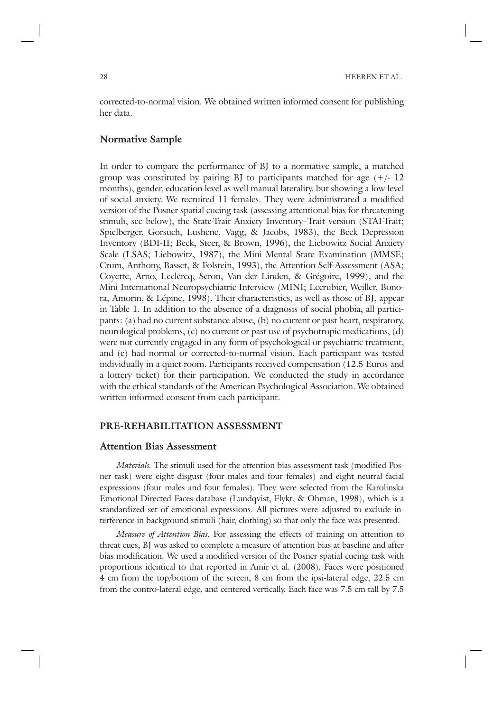corrected-to-normal vision. We obtained written informed consent for publishing her data.

# **normative Sample**

In order to compare the performance of BJ to a normative sample, a matched group was constituted by pairing BJ to participants matched for age  $(+/- 12)$ months), gender, education level as well manual laterality, but showing a low level of social anxiety. We recruited 11 females. They were administrated a modified version of the Posner spatial cueing task (assessing attentional bias for threatening stimuli, see below), the State-Trait Anxiety Inventory–Trait version (STAI-Trait; Spielberger, Gorsuch, Lushene, Vagg, & Jacobs, 1983), the Beck Depression Inventory (BDI-II; Beck, Steer, & Brown, 1996), the Liebowitz Social Anxiety Scale (LSAS; Liebowitz, 1987), the Mini Mental State Examination (MMSE; Crum, Anthony, Basset, & Folstein, 1993), the Attention Self-Assessment (ASA; Coyette, Arno, Leclercq, Seron, Van der Linden, & Grégoire, 1999), and the Mini International Neuropsychiatric Interview (MINI; Lecrubier, Weiller, Bonora, Amorin, & Lépine, 1998). Their characteristics, as well as those of BJ, appear in Table 1. In addition to the absence of a diagnosis of social phobia, all participants: (a) had no current substance abuse, (b) no current or past heart, respiratory, neurological problems, (c) no current or past use of psychotropic medications, (d) were not currently engaged in any form of psychological or psychiatric treatment, and (e) had normal or corrected-to-normal vision. Each participant was tested individually in a quiet room. Participants received compensation (12.5 Euros and a lottery ticket) for their participation. We conducted the study in accordance with the ethical standards of the American Psychological Association. We obtained written informed consent from each participant.

## **PRe-RehABIlITATIon ASSeSSMenT**

## **Attention Bias Assessment**

*Materials.* The stimuli used for the attention bias assessment task (modified Posner task) were eight disgust (four males and four females) and eight neutral facial expressions (four males and four females). They were selected from the Karolinska Emotional Directed Faces database (Lundqvist, Flykt, & Öhman, 1998), which is a standardized set of emotional expressions. All pictures were adjusted to exclude interference in background stimuli (hair, clothing) so that only the face was presented.

*Measure of Attention Bias.* For assessing the effects of training on attention to threat cues, BJ was asked to complete a measure of attention bias at baseline and after bias modification. We used a modified version of the Posner spatial cueing task with proportions identical to that reported in Amir et al. (2008). Faces were positioned 4 cm from the top/bottom of the screen, 8 cm from the ipsi-lateral edge, 22.5 cm from the contro-lateral edge, and centered vertically. Each face was 7.5 cm tall by 7.5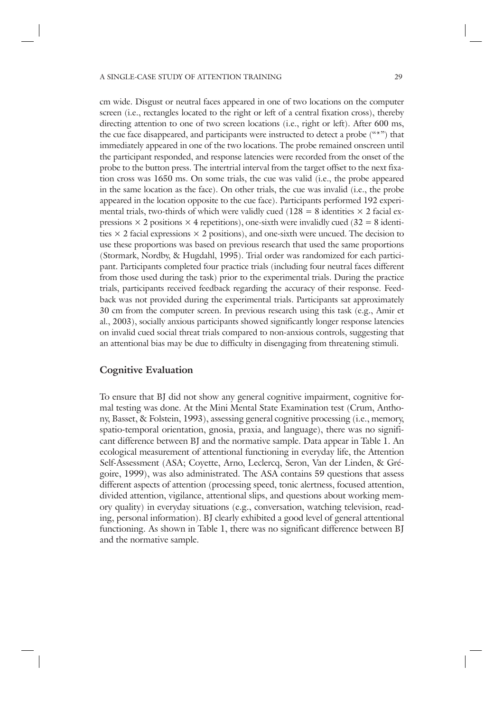cm wide. Disgust or neutral faces appeared in one of two locations on the computer screen (i.e., rectangles located to the right or left of a central fixation cross), thereby directing attention to one of two screen locations (i.e., right or left). After 600 ms, the cue face disappeared, and participants were instructed to detect a probe ("\*") that immediately appeared in one of the two locations. The probe remained onscreen until the participant responded, and response latencies were recorded from the onset of the probe to the button press. The intertrial interval from the target offset to the next fixation cross was 1650 ms. On some trials, the cue was valid (i.e., the probe appeared in the same location as the face). On other trials, the cue was invalid (i.e., the probe appeared in the location opposite to the cue face). Participants performed 192 experimental trials, two-thirds of which were validly cued (128 = 8 identities  $\times$  2 facial expressions  $\times$  2 positions  $\times$  4 repetitions), one-sixth were invalidly cued (32 = 8 identities  $\times$  2 facial expressions  $\times$  2 positions), and one-sixth were uncued. The decision to use these proportions was based on previous research that used the same proportions (Stormark, Nordby, & Hugdahl, 1995). Trial order was randomized for each participant. Participants completed four practice trials (including four neutral faces different from those used during the task) prior to the experimental trials. During the practice trials, participants received feedback regarding the accuracy of their response. Feedback was not provided during the experimental trials. Participants sat approximately 30 cm from the computer screen. In previous research using this task (e.g., Amir et al., 2003), socially anxious participants showed significantly longer response latencies on invalid cued social threat trials compared to non-anxious controls, suggesting that an attentional bias may be due to difficulty in disengaging from threatening stimuli.

# **Cognitive Evaluation**

To ensure that BJ did not show any general cognitive impairment, cognitive formal testing was done. At the Mini Mental State Examination test (Crum, Anthony, Basset, & Folstein, 1993), assessing general cognitive processing (i.e., memory, spatio-temporal orientation, gnosia, praxia, and language), there was no significant difference between BJ and the normative sample. Data appear in Table 1. An ecological measurement of attentional functioning in everyday life, the Attention Self-Assessment (ASA; Coyette, Arno, Leclercq, Seron, Van der Linden, & Grégoire, 1999), was also administrated. The ASA contains 59 questions that assess different aspects of attention (processing speed, tonic alertness, focused attention, divided attention, vigilance, attentional slips, and questions about working memory quality) in everyday situations (e.g., conversation, watching television, reading, personal information). BJ clearly exhibited a good level of general attentional functioning. As shown in Table 1, there was no significant difference between BJ and the normative sample.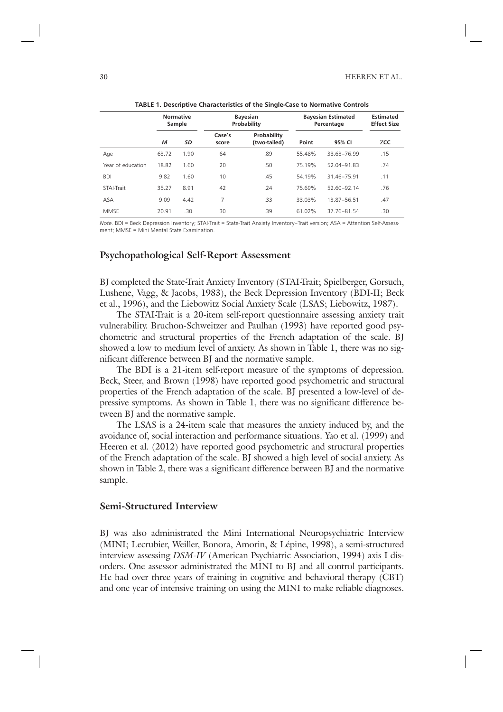|                   |       | <b>Normative</b><br>Sample |                 | <b>Bayesian</b><br>Probability |        | <b>Bayesian Estimated</b><br>Percentage | <b>Estimated</b><br><b>Effect Size</b> |
|-------------------|-------|----------------------------|-----------------|--------------------------------|--------|-----------------------------------------|----------------------------------------|
|                   | М     | SD                         | Case's<br>score | Probability<br>(two-tailed)    | Point  | 95% CI                                  | ZCC                                    |
| Age               | 63.72 | 1.90                       | 64              | .89                            | 55.48% | 33.63-76.99                             | .15                                    |
| Year of education | 18.82 | 1.60                       | 20              | .50                            | 75.19% | 52.04-91.83                             | .74                                    |
| <b>BDI</b>        | 9.82  | 1.60                       | 10              | .45                            | 54.19% | 31.46-75.91                             | .11                                    |
| STAI-Trait        | 35.27 | 8.91                       | 42              | .24                            | 75.69% | 52.60-92.14                             | .76                                    |
| <b>ASA</b>        | 9.09  | 4.42                       | 7               | .33                            | 33.03% | 13.87-56.51                             | .47                                    |
| <b>MMSE</b>       | 20.91 | .30                        | 30              | .39                            | 61.02% | 37.76-81.54                             | .30                                    |

**TABLE 1. Descriptive Characteristics of the Single-Case to Normative Controls**

*Note.* BDI = Beck Depression Inventory; STAI-Trait = State-Trait Anxiety Inventory–Trait version; ASA = Attention Self-Assessment; MMSE = Mini Mental State Examination.

# **Psychopathological Self-Report Assessment**

BJ completed the State-Trait Anxiety Inventory (STAI-Trait; Spielberger, Gorsuch, Lushene, Vagg, & Jacobs, 1983), the Beck Depression Inventory (BDI-II; Beck et al., 1996), and the Liebowitz Social Anxiety Scale (LSAS; Liebowitz, 1987).

The STAI-Trait is a 20-item self-report questionnaire assessing anxiety trait vulnerability. Bruchon-Schweitzer and Paulhan (1993) have reported good psychometric and structural properties of the French adaptation of the scale. BJ showed a low to medium level of anxiety. As shown in Table 1, there was no significant difference between BJ and the normative sample.

The BDI is a 21-item self-report measure of the symptoms of depression. Beck, Steer, and Brown (1998) have reported good psychometric and structural properties of the French adaptation of the scale. BJ presented a low-level of depressive symptoms. As shown in Table 1, there was no significant difference between BJ and the normative sample.

The LSAS is a 24-item scale that measures the anxiety induced by, and the avoidance of, social interaction and performance situations. Yao et al. (1999) and Heeren et al. (2012) have reported good psychometric and structural properties of the French adaptation of the scale. BJ showed a high level of social anxiety. As shown in Table 2, there was a significant difference between BJ and the normative sample.

# **Semi-Structured Interview**

BJ was also administrated the Mini International Neuropsychiatric Interview (MINI; Lecrubier, Weiller, Bonora, Amorin, & Lépine, 1998), a semi-structured interview assessing *DSM-IV* (American Psychiatric Association, 1994) axis I disorders. One assessor administrated the MINI to BJ and all control participants. He had over three years of training in cognitive and behavioral therapy (CBT) and one year of intensive training on using the MINI to make reliable diagnoses.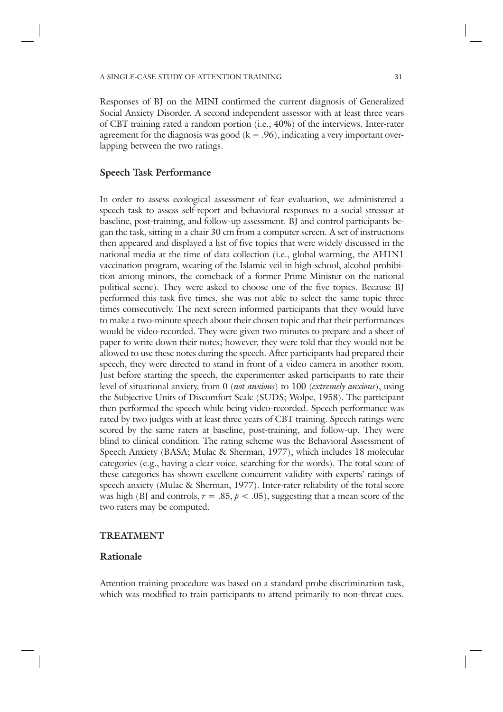Responses of BJ on the MINI confirmed the current diagnosis of Generalized Social Anxiety Disorder. A second independent assessor with at least three years of CBT training rated a random portion (i.e., 40%) of the interviews. Inter-rater agreement for the diagnosis was good ( $k = .96$ ), indicating a very important overlapping between the two ratings.

## **Speech Task Performance**

In order to assess ecological assessment of fear evaluation, we administered a speech task to assess self-report and behavioral responses to a social stressor at baseline, post-training, and follow-up assessment. BJ and control participants began the task, sitting in a chair 30 cm from a computer screen. A set of instructions then appeared and displayed a list of five topics that were widely discussed in the national media at the time of data collection (i.e., global warming, the AH1N1 vaccination program, wearing of the Islamic veil in high-school, alcohol prohibition among minors, the comeback of a former Prime Minister on the national political scene). They were asked to choose one of the five topics. Because BJ performed this task five times, she was not able to select the same topic three times consecutively. The next screen informed participants that they would have to make a two-minute speech about their chosen topic and that their performances would be video-recorded. They were given two minutes to prepare and a sheet of paper to write down their notes; however, they were told that they would not be allowed to use these notes during the speech. After participants had prepared their speech, they were directed to stand in front of a video camera in another room. Just before starting the speech, the experimenter asked participants to rate their level of situational anxiety, from 0 (*not anxious*) to 100 (*extremely anxious*), using the Subjective Units of Discomfort Scale (SUDS; Wolpe, 1958). The participant then performed the speech while being video-recorded. Speech performance was rated by two judges with at least three years of CBT training. Speech ratings were scored by the same raters at baseline, post-training, and follow-up. They were blind to clinical condition. The rating scheme was the Behavioral Assessment of Speech Anxiety (BASA; Mulac & Sherman, 1977), which includes 18 molecular categories (e.g., having a clear voice, searching for the words). The total score of these categories has shown excellent concurrent validity with experts' ratings of speech anxiety (Mulac & Sherman, 1977). Inter-rater reliability of the total score was high (BJ and controls,  $r = .85$ ,  $p < .05$ ), suggesting that a mean score of the two raters may be computed.

## **TReATMenT**

#### **Rationale**

Attention training procedure was based on a standard probe discrimination task, which was modified to train participants to attend primarily to non-threat cues.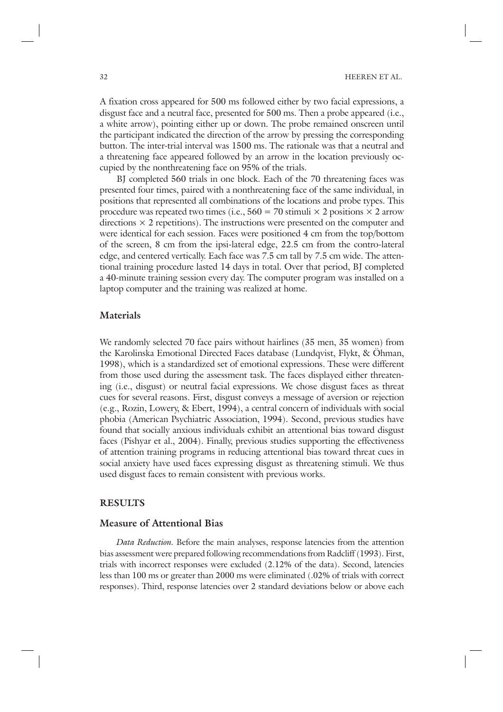A fixation cross appeared for 500 ms followed either by two facial expressions, a disgust face and a neutral face, presented for 500 ms. Then a probe appeared (i.e., a white arrow), pointing either up or down. The probe remained onscreen until the participant indicated the direction of the arrow by pressing the corresponding button. The inter-trial interval was 1500 ms. The rationale was that a neutral and a threatening face appeared followed by an arrow in the location previously occupied by the nonthreatening face on 95% of the trials.

BJ completed 560 trials in one block. Each of the 70 threatening faces was presented four times, paired with a nonthreatening face of the same individual, in positions that represented all combinations of the locations and probe types. This procedure was repeated two times (i.e.,  $560 = 70$  stimuli  $\times$  2 positions  $\times$  2 arrow directions  $\times$  2 repetitions). The instructions were presented on the computer and were identical for each session. Faces were positioned 4 cm from the top/bottom of the screen, 8 cm from the ipsi-lateral edge, 22.5 cm from the contro-lateral edge, and centered vertically. Each face was 7.5 cm tall by 7.5 cm wide. The attentional training procedure lasted 14 days in total. Over that period, BJ completed a 40-minute training session every day. The computer program was installed on a laptop computer and the training was realized at home.

## **Materials**

We randomly selected 70 face pairs without hairlines (35 men, 35 women) from the Karolinska Emotional Directed Faces database (Lundqvist, Flykt, & Öhman, 1998), which is a standardized set of emotional expressions. These were different from those used during the assessment task. The faces displayed either threatening (i.e., disgust) or neutral facial expressions. We chose disgust faces as threat cues for several reasons. First, disgust conveys a message of aversion or rejection (e.g., Rozin, Lowery, & Ebert, 1994), a central concern of individuals with social phobia (American Psychiatric Association, 1994). Second, previous studies have found that socially anxious individuals exhibit an attentional bias toward disgust faces (Pishyar et al., 2004). Finally, previous studies supporting the effectiveness of attention training programs in reducing attentional bias toward threat cues in social anxiety have used faces expressing disgust as threatening stimuli. We thus used disgust faces to remain consistent with previous works.

## **ReSulTS**

#### **Measure of Attentional Bias**

*Data Reduction.* Before the main analyses, response latencies from the attention bias assessment were prepared following recommendations from Radcliff (1993). First, trials with incorrect responses were excluded (2.12% of the data). Second, latencies less than 100 ms or greater than 2000 ms were eliminated (.02% of trials with correct responses). Third, response latencies over 2 standard deviations below or above each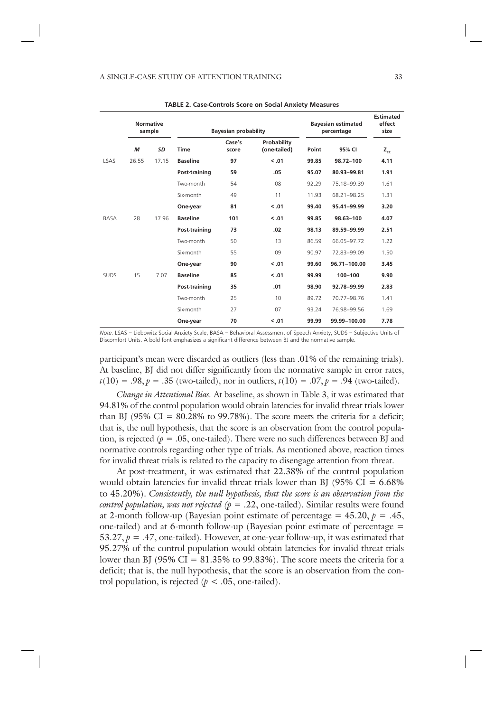|             |       | <b>Normative</b><br>sample |                 | <b>Bayesian probability</b> |                             |       | <b>Bayesian estimated</b><br>percentage | <b>Estimated</b><br>effect<br>size |
|-------------|-------|----------------------------|-----------------|-----------------------------|-----------------------------|-------|-----------------------------------------|------------------------------------|
|             | м     | SD                         | <b>Time</b>     | Case's<br>score             | Probability<br>(one-tailed) | Point | 95% CI                                  | $Z_{cc}$                           |
| <b>LSAS</b> | 26.55 | 17.15                      | <b>Baseline</b> | 97                          | < 0.01                      | 99.85 | 98.72-100                               | 4.11                               |
|             |       |                            | Post-training   | 59                          | .05                         | 95.07 | 80.93-99.81                             | 1.91                               |
|             |       |                            | Two-month       | 54                          | .08                         | 92.29 | 75.18-99.39                             | 1.61                               |
|             |       |                            | Six-month       | 49                          | .11                         | 11.93 | 68.21-98.25                             | 1.31                               |
|             |       |                            | One-year        | 81                          | < 0.01                      | 99.40 | 95.41-99.99                             | 3.20                               |
| <b>BASA</b> | 28    | 17.96                      | <b>Baseline</b> | 101                         | < 0.01                      | 99.85 | 98.63-100                               | 4.07                               |
|             |       |                            | Post-training   | 73                          | .02                         | 98.13 | 89.59-99.99                             | 2.51                               |
|             |       |                            | Two-month       | 50                          | .13                         | 86.59 | 66.05-97.72                             | 1.22                               |
|             |       |                            | Six-month       | 55                          | .09                         | 90.97 | 72.83-99.09                             | 1.50                               |
|             |       |                            | One-year        | 90                          | < 0.01                      | 99.60 | 96.71-100.00                            | 3.45                               |
| <b>SUDS</b> | 15    | 7.07                       | <b>Baseline</b> | 85                          | 5.01                        | 99.99 | 100-100                                 | 9.90                               |
|             |       |                            | Post-training   | 35                          | .01                         | 98.90 | 92.78-99.99                             | 2.83                               |
|             |       |                            | Two-month       | 25                          | .10                         | 89.72 | 70.77-98.76                             | 1.41                               |
|             |       |                            | Six-month       | 27                          | .07                         | 93.24 | 76.98-99.56                             | 1.69                               |
|             |       |                            | One-year        | 70                          | 5.01                        | 99.99 | 99.99-100.00                            | 7.78                               |

**TABLE 2. Case-Controls Score on Social Anxiety Measures**

*Note.* LSAS = Liebowitz Social Anxiety Scale; BASA = Behavioral Assessment of Speech Anxiety; SUDS = Subjective Units of Discomfort Units. A bold font emphasizes a significant difference between BJ and the normative sample.

participant's mean were discarded as outliers (less than .01% of the remaining trials). At baseline, BJ did not differ significantly from the normative sample in error rates,  $t(10) = .98, p = .35$  (two-tailed), nor in outliers,  $t(10) = .07, p = .94$  (two-tailed).

*Change in Attentional Bias.* At baseline, as shown in Table 3, it was estimated that 94.81% of the control population would obtain latencies for invalid threat trials lower than BJ (95% CI =  $80.28\%$  to 99.78%). The score meets the criteria for a deficit; that is, the null hypothesis, that the score is an observation from the control population, is rejected ( $p = .05$ , one-tailed). There were no such differences between BJ and normative controls regarding other type of trials. As mentioned above, reaction times for invalid threat trials is related to the capacity to disengage attention from threat.

At post-treatment, it was estimated that 22.38% of the control population would obtain latencies for invalid threat trials lower than BJ ( $95\%$  CI =  $6.68\%$ ) to 45.20%). *Consistently, the null hypothesis, that the score is an observation from the control population, was not rejected (* $p = .22$ *, one-tailed). Similar results were found* at 2-month follow-up (Bayesian point estimate of percentage =  $45.20, p = .45,$ one-tailed) and at 6-month follow-up (Bayesian point estimate of percentage = 53.27,  $p = .47$ , one-tailed). However, at one-year follow-up, it was estimated that 95.27% of the control population would obtain latencies for invalid threat trials lower than BJ (95% CI =  $81.35%$  to 99.83%). The score meets the criteria for a deficit; that is, the null hypothesis, that the score is an observation from the control population, is rejected ( $p < .05$ , one-tailed).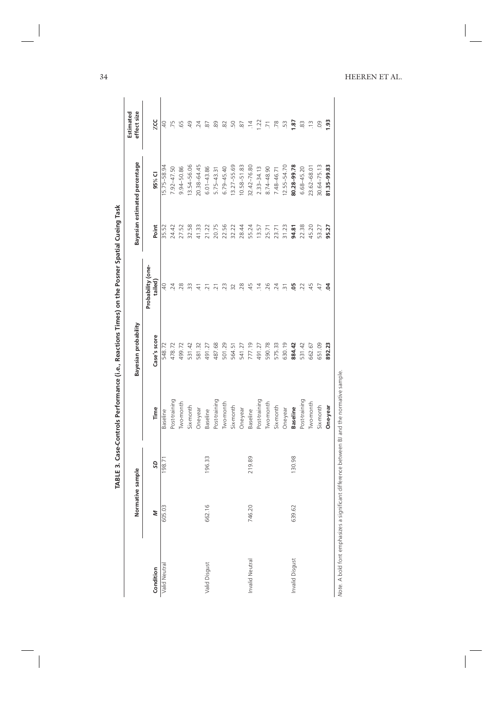|                 | Normative sampl | Φ              |               | Bayesian probability |                             |       | Bayesian estimated percentage | effect size<br>Estimated |
|-----------------|-----------------|----------------|---------------|----------------------|-----------------------------|-------|-------------------------------|--------------------------|
| Condition       | Z               | SD             | Time          | Case's score         | Probability (one-<br>tailed | Point | 95% CI                        | g                        |
| Valid Neutral   | 605.03          | $\sqrt{98.71}$ | Baseline      | 548.72               | $\overline{a}$              | 35.52 | 15.75-58.94                   | d.                       |
|                 |                 |                | Post-training | 478.72               | .24                         | 24.42 | $7.92 - 47.50$                | 75                       |
|                 |                 |                | Two-month     | 499.72               | 28                          | 27.52 | 9.94-50.86                    | 65                       |
|                 |                 |                | Six-month     | 531.42               | ξč                          | 32.58 | 13.54-56.06                   | $\overline{5}$           |
|                 |                 |                | One-year      | 581.32               | $\pm$                       | 41.33 | 20.38-64.45                   | 24                       |
| Valid Disqust   | 662.16          | 96.33          | Baseline      | 491.27               | $\overline{21}$             | 21.22 | $6.01 - 43.86$                | 87                       |
|                 |                 |                | Post-training | 487.68               | $\overline{21}$             | 20.75 | $5.75 - 43.31$                | 89                       |
|                 |                 |                | Two-month     | 501.29               | 23                          | 22.56 | $6.79 - 45.40$                | 82                       |
|                 |                 |                | Six-month     | 564.51               | 32                          | 32.22 | 13.27-55.69                   | 50                       |
|                 |                 |                | One-year      | 541.27               | .28                         | 28.44 | 10.58-51.83                   | $87$                     |
| Invalid Neutral | 746.20          | 219.89         | Baseline      | 777.19               | 45                          | 55.24 | $32.42 - 76.80$               | $\overline{14}$          |
|                 |                 |                | Post-training | 491.27               | $\overline{4}$              | 13.57 | $2.33 - 34.13$                | 1.22                     |
|                 |                 |                | Two-month     | 590.78               | 26                          | 25.71 | 8.74-48.90                    | $\overline{7}1$          |
|                 |                 |                | Six-month     | 575.33               | .24                         | 23.71 | $7.48 - 46.7$                 | .78                      |
|                 |                 |                | One-year      | 630.19               | $\overline{31}$             | 31.23 | $12.55 - 54.70$               | 53                       |
| Invalid Disgust | 639.62          | 30.98          | Baseline      | 884.42               | ă,                          | 94.81 | 80.28-99.78                   | 1.87                     |
|                 |                 |                | Post-training | 531.42               | 22                          | 22.38 | $6.68 - 45.20$                | $\frac{8}{3}$            |
|                 |                 |                | Two-month     | 662.67               | 45                          | 45.20 | 23.62-68.0                    | $\tilde{\Xi}$            |
|                 |                 |                | Six-month     | 651.09               | 47                          | 53.27 | 30.64-75.13                   | 09                       |
|                 |                 |                | One-year      | 892.23               | S.                          | 95.27 | 81.35-99.83                   | 1.93                     |

TABLE 3. Case-Controls Performance (i.e., Reactions Times) on the Posner Spatial Cueing Task

34 HEEREN ET AL.

 $\begin{array}{c} \hline \end{array}$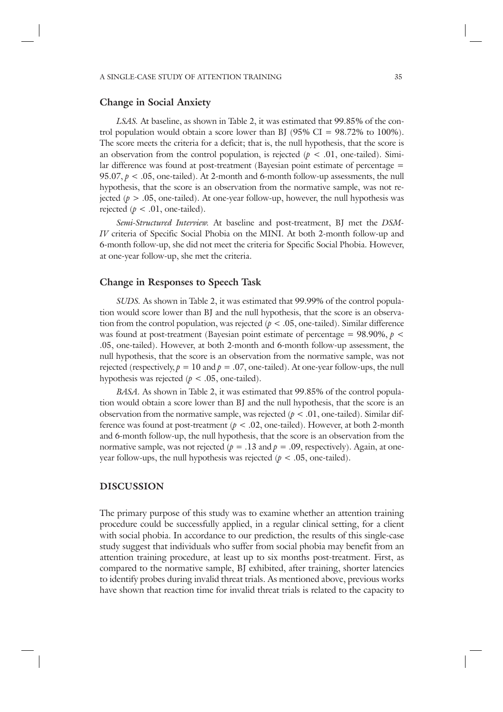# **Change in Social Anxiety**

*LSAS.* At baseline, as shown in Table 2, it was estimated that 99.85% of the control population would obtain a score lower than BJ  $(95\% \text{ CI} = 98.72\% \text{ to } 100\%).$ The score meets the criteria for a deficit; that is, the null hypothesis, that the score is an observation from the control population, is rejected  $(p < .01,$  one-tailed). Similar difference was found at post-treatment (Bayesian point estimate of percentage = 95.07,  $p < .05$ , one-tailed). At 2-month and 6-month follow-up assessments, the null hypothesis, that the score is an observation from the normative sample, was not rejected ( $p > .05$ , one-tailed). At one-year follow-up, however, the null hypothesis was rejected  $(p < .01,$  one-tailed).

*Semi-Structured Interview.* At baseline and post-treatment, BJ met the *DSM-IV* criteria of Specific Social Phobia on the MINI. At both 2-month follow-up and 6-month follow-up, she did not meet the criteria for Specific Social Phobia. However, at one-year follow-up, she met the criteria.

## **Change in Responses to Speech Task**

*SUDS.* As shown in Table 2, it was estimated that 99.99% of the control population would score lower than BJ and the null hypothesis, that the score is an observation from the control population, was rejected ( $p < .05$ , one-tailed). Similar difference was found at post-treatment (Bayesian point estimate of percentage =  $98.90\%$ ,  $p \lt \theta$ .05, one-tailed). However, at both 2-month and 6-month follow-up assessment, the null hypothesis, that the score is an observation from the normative sample, was not rejected (respectively,  $p = 10$  and  $p = .07$ , one-tailed). At one-year follow-ups, the null hypothesis was rejected (*p* < .05, one-tailed).

*BASA.* As shown in Table 2, it was estimated that 99.85% of the control population would obtain a score lower than BJ and the null hypothesis, that the score is an observation from the normative sample, was rejected  $(p < .01)$ , one-tailed). Similar difference was found at post-treatment (*p* < .02, one-tailed). However, at both 2-month and 6-month follow-up, the null hypothesis, that the score is an observation from the normative sample, was not rejected ( $p = .13$  and  $p = .09$ , respectively). Again, at oneyear follow-ups, the null hypothesis was rejected ( $p < .05$ , one-tailed).

# **dISCuSSIon**

The primary purpose of this study was to examine whether an attention training procedure could be successfully applied, in a regular clinical setting, for a client with social phobia. In accordance to our prediction, the results of this single-case study suggest that individuals who suffer from social phobia may benefit from an attention training procedure, at least up to six months post-treatment. First, as compared to the normative sample, BJ exhibited, after training, shorter latencies to identify probes during invalid threat trials. As mentioned above, previous works have shown that reaction time for invalid threat trials is related to the capacity to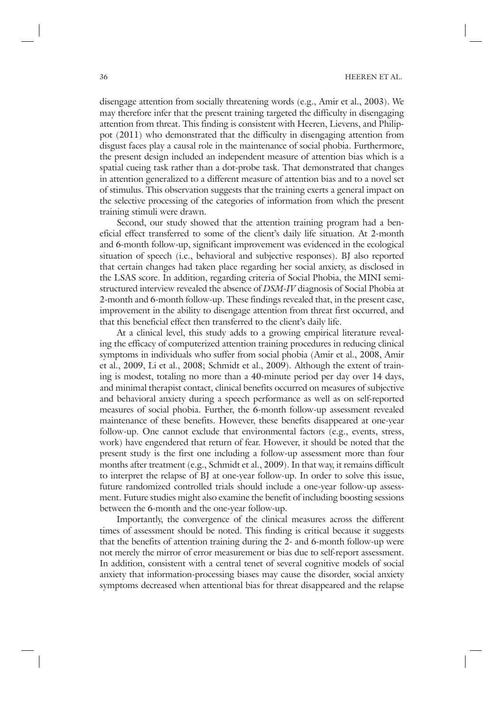disengage attention from socially threatening words (e.g., Amir et al., 2003). We may therefore infer that the present training targeted the difficulty in disengaging attention from threat. This finding is consistent with Heeren, Lievens, and Philippot (2011) who demonstrated that the difficulty in disengaging attention from disgust faces play a causal role in the maintenance of social phobia. Furthermore, the present design included an independent measure of attention bias which is a spatial cueing task rather than a dot-probe task. That demonstrated that changes in attention generalized to a different measure of attention bias and to a novel set of stimulus. This observation suggests that the training exerts a general impact on the selective processing of the categories of information from which the present training stimuli were drawn.

Second, our study showed that the attention training program had a beneficial effect transferred to some of the client's daily life situation. At 2-month and 6-month follow-up, significant improvement was evidenced in the ecological situation of speech (i.e., behavioral and subjective responses). BJ also reported that certain changes had taken place regarding her social anxiety, as disclosed in the LSAS score. In addition, regarding criteria of Social Phobia, the MINI semistructured interview revealed the absence of *DSM-IV* diagnosis of Social Phobia at 2-month and 6-month follow-up. These findings revealed that, in the present case, improvement in the ability to disengage attention from threat first occurred, and that this beneficial effect then transferred to the client's daily life.

At a clinical level, this study adds to a growing empirical literature revealing the efficacy of computerized attention training procedures in reducing clinical symptoms in individuals who suffer from social phobia (Amir et al., 2008, Amir et al., 2009, Li et al., 2008; Schmidt et al., 2009). Although the extent of training is modest, totaling no more than a 40-minute period per day over 14 days, and minimal therapist contact, clinical benefits occurred on measures of subjective and behavioral anxiety during a speech performance as well as on self-reported measures of social phobia. Further, the 6-month follow-up assessment revealed maintenance of these benefits. However, these benefits disappeared at one-year follow-up. One cannot exclude that environmental factors (e.g., events, stress, work) have engendered that return of fear. However, it should be noted that the present study is the first one including a follow-up assessment more than four months after treatment (e.g., Schmidt et al., 2009). In that way, it remains difficult to interpret the relapse of BJ at one-year follow-up. In order to solve this issue, future randomized controlled trials should include a one-year follow-up assessment. Future studies might also examine the benefit of including boosting sessions between the 6-month and the one-year follow-up.

Importantly, the convergence of the clinical measures across the different times of assessment should be noted. This finding is critical because it suggests that the benefits of attention training during the 2- and 6-month follow-up were not merely the mirror of error measurement or bias due to self-report assessment. In addition, consistent with a central tenet of several cognitive models of social anxiety that information-processing biases may cause the disorder, social anxiety symptoms decreased when attentional bias for threat disappeared and the relapse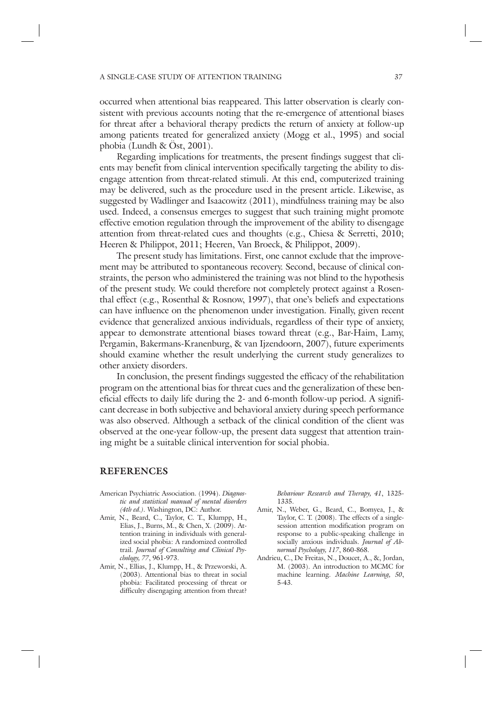occurred when attentional bias reappeared. This latter observation is clearly consistent with previous accounts noting that the re-emergence of attentional biases for threat after a behavioral therapy predicts the return of anxiety at follow-up among patients treated for generalized anxiety (Mogg et al., 1995) and social phobia (Lundh & Öst, 2001).

Regarding implications for treatments, the present findings suggest that clients may benefit from clinical intervention specifically targeting the ability to disengage attention from threat-related stimuli. At this end, computerized training may be delivered, such as the procedure used in the present article. Likewise, as suggested by Wadlinger and Isaacowitz (2011), mindfulness training may be also used. Indeed, a consensus emerges to suggest that such training might promote effective emotion regulation through the improvement of the ability to disengage attention from threat-related cues and thoughts (e.g., Chiesa & Serretti, 2010; Heeren & Philippot, 2011; Heeren, Van Broeck, & Philippot, 2009).

The present study has limitations. First, one cannot exclude that the improvement may be attributed to spontaneous recovery. Second, because of clinical constraints, the person who administered the training was not blind to the hypothesis of the present study. We could therefore not completely protect against a Rosenthal effect (e.g., Rosenthal & Rosnow, 1997), that one's beliefs and expectations can have influence on the phenomenon under investigation. Finally, given recent evidence that generalized anxious individuals, regardless of their type of anxiety, appear to demonstrate attentional biases toward threat (e.g., Bar-Haim, Lamy, Pergamin, Bakermans-Kranenburg, & van Ijzendoorn, 2007), future experiments should examine whether the result underlying the current study generalizes to other anxiety disorders.

In conclusion, the present findings suggested the efficacy of the rehabilitation program on the attentional bias for threat cues and the generalization of these beneficial effects to daily life during the 2- and 6-month follow-up period. A significant decrease in both subjective and behavioral anxiety during speech performance was also observed. Although a setback of the clinical condition of the client was observed at the one-year follow-up, the present data suggest that attention training might be a suitable clinical intervention for social phobia.

#### **ReFeRenCeS**

- American Psychiatric Association. (1994). *Diagnostic and statistical manual of mental disorders (4th ed.).* Washington, DC: Author.
- Amir, N., Beard, C., Taylor, C. T., Klumpp, H., Elias, J., Burns, M., & Chen, X. (2009). Attention training in individuals with generalized social phobia: A randomized controlled trail. *Journal of Consulting and Clinical Psychology, 77*, 961-973.
- Amir, N., Ellias, J., Klumpp, H., & Przeworski, A. (2003). Attentional bias to threat in social phobia: Facilitated processing of threat or difficulty disengaging attention from threat?

*Behaviour Research and Therapy, 41*, 1325- 1335.

- Amir, N., Weber, G., Beard, C., Bomyea, J., & Taylor, C. T. (2008). The effects of a singlesession attention modification program on response to a public-speaking challenge in socially anxious individuals. *Journal of Abnormal Psychology, 117*, 860-868.
- Andrieu, C., De Freitas, N., Doucet, A., &, Jordan, M. (2003). An introduction to MCMC for machine learning. *Machine Learning, 50*, 5-43.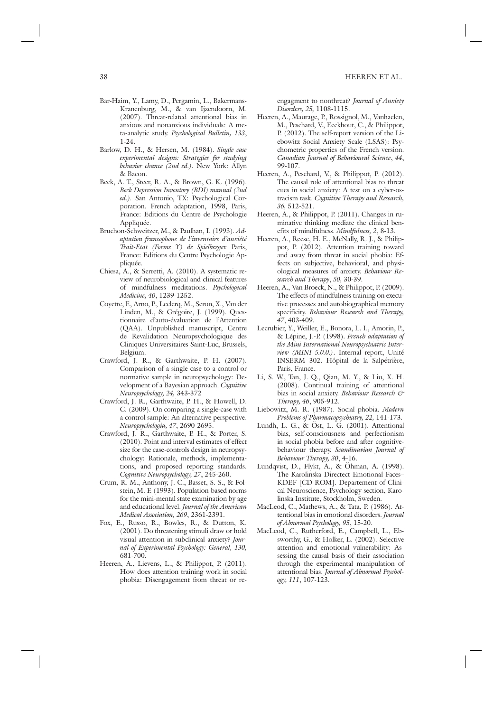- Bar-Haim, Y., Lamy, D., Pergamin, L., Bakermans-Kranenburg, M., & van Ijzendoorn, M. (2007). Threat-related attentional bias in anxious and nonanxious individuals: A meta-analytic study. *Psychological Bulletin, 133*, 1-24.
- Barlow, D. H., & Hersen, M. (1984). *Single case experimental designs: Strategies for studying behavior chance (2nd ed.).* New York: Allyn & Bacon.
- Beck, A. T., Steer, R. A., & Brown, G. K. (1996). *Beck Depression Inventory (BDI) manual (2nd ed.).* San Antonio, TX: Psychological Corporation. French adaptation, 1998, Paris, France: Editions du Centre de Psychologie Appliquée.
- Bruchon-Schweitzer, M., & Paulhan, I. (1993). *Adaptation francophone de l'inventaire d'anxiété Trait-Etat (Forme Y) de Spielberger.* Paris, France: Editions du Centre Psychologie Appliquée.
- Chiesa, A., & Serretti, A. (2010). A systematic review of neurobiological and clinical features of mindfulness meditations. *Psychological Medicine, 40*, 1239-1252.
- Coyette, F., Arno, P., Leclerq, M., Seron, X., Van der Linden, M., & Grégoire, J. (1999). Questionnaire d'auto-évaluation de l'Attention (QAA). Unpublished manuscript, Centre de Revalidation Neuropsychologique des Cliniques Universitaires Saint-Luc, Brussels, Belgium.
- Crawford, J. R., & Garthwaite, P. H. (2007). Comparison of a single case to a control or normative sample in neuropsychology: Development of a Bayesian approach. *Cognitive Neuropsychology, 24,* 343-372
- Crawford, J. R., Garthwaite, P. H., & Howell, D. C. (2009). On comparing a single-case with a control sample: An alternative perspective. *Neuropsychologia, 47*, 2690-2695.
- Crawford, J. R., Garthwaite, P. H., & Porter, S. (2010). Point and interval estimates of effect size for the case-controls design in neuropsychology: Rationale, methods, implementations, and proposed reporting standards. *Cognitive Neuropsychology, 27*, 245-260.
- Crum, R. M., Anthony, J. C., Basset, S. S., & Folstein, M. F. (1993). Population-based norms for the mini-mental state examination by age and educational level. *Journal of the American Medical Association, 269*, 2361-2391.
- Fox, E., Russo, R., Bowles, R., & Dutton, K. (2001). Do threatening stimuli draw or hold visual attention in subclinical anxiety? *Journal of Experimental Psychology: General, 130,*  681-700.
- Heeren, A., Lievens, L., & Philippot, P. (2011). How does attention training work in social phobia: Disengagement from threat or re-

engagment to nonthreat? *Journal of Anxiety Disorders, 25,* 1108-1115.

- Heeren, A., Maurage, P., Rossignol, M., Vanhaelen, M., Peschard, V., Eeckhout, C., & Philippot, P. (2012). The self-report version of the Liebowitz Social Anxiety Scale (LSAS): Psychometric properties of the French version. *Canadian Journal of Behavioural Science*, *44*, 99-107.
- Heeren, A., Peschard, V., & Philippot, P. (2012). The causal role of attentional bias to threat cues in social anxiety: A test on a cyber-ostracism task. *Cognitive Therapy and Research, 36,* 512-521.
- Heeren, A., & Philippot, P. (2011). Changes in ruminative thinking mediate the clinical benefits of mindfulness. *Mindfulness, 2*, 8-13.
- Heeren, A., Reese, H. E., McNally, R. J., & Philippot, P. (2012). Attention training toward and away from threat in social phobia: Effects on subjective, behavioral, and physiological measures of anxiety. *Behaviour Research and Therapy*, *50,* 30-39.
- Heeren, A., Van Broeck, N., & Philippot, P. (2009). The effects of mindfulness training on executive processes and autobiographical memory specificity. *Behaviour Research and Therapy, 47*, 403-409.
- Lecrubier, Y., Weiller, E., Bonora, L. I., Amorin, P., & Lépine, J.-P. (1998). *French adaptation of the Mini International Neuropsychiatric Interview (MINI 5.0.0.)*. Internal report, Unité INSERM 302. Hôpital de la Salpétrière, Paris, France.
- Li, S. W., Tan, J. Q., Qian, M. Y., & Liu, X. H. (2008). Continual training of attentional bias in social anxiety. *Behaviour Research & Therapy, 46*, 905-912.
- Liebowitz, M. R. (1987). Social phobia. *Modern Problems of Pharmacopsychiatry, 22,* 141-173.
- Lundh, L. G., & Öst, L. G. (2001). Attentional bias, self-consciousness and perfectionism in social phobia before and after cognitivebehaviour therapy. *Scandinavian Journal of Behaviour Therapy, 30*, 4-16.
- Lundqvist, D., Flykt, A., & Öhman, A. (1998). The Karolinska Directect Emotional Faces– KDEF [CD-ROM]. Departement of Clinical Neuroscience, Psychology section, Karolinska Institute, Stockholm, Sweden.
- MacLeod, C., Mathews, A., & Tata, P. (1986). Attentional bias in emotional disorders. *Journal of Abnormal Psychology, 95*, 15-20.
- MacLeod, C., Rutherford, E., Campbell, L., Ebsworthy, G., & Holker, L. (2002). Selective attention and emotional vulnerability: Assessing the causal basis of their association through the experimental manipulation of attentional bias. *Journal of Abnormal Psychology, 111*, 107-123.